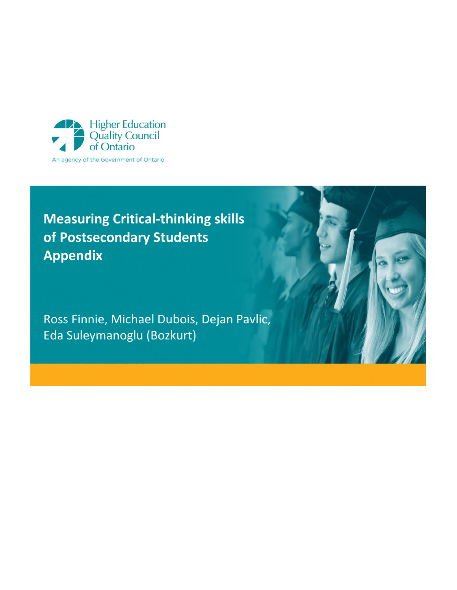

# **Measuring Critical-thinking skills of Postsecondary Students Appendix**

Ross Finnie, Michael Dubois, Dejan Pavlic, Eda Suleymanoglu (Bozkurt)

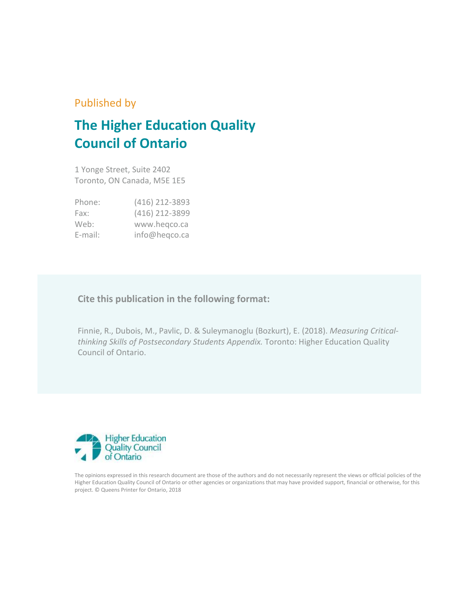### Published by

## **The Higher Education Quality Council of Ontario**

1 Yonge Street, Suite 2402 Toronto, ON Canada, M5E 1E5

| Phone:     | (416) 212-3893 |
|------------|----------------|
| Fax:       | (416) 212-3899 |
| Web:       | www.hegco.ca   |
| $E$ -mail: | info@heqco.ca  |

### **Cite this publication in the following format:**

Finnie, R., Dubois, M., Pavlic, D. & Suleymanoglu (Bozkurt), E. (2018). *Measuring Criticalthinking Skills of Postsecondary Students Appendix.* Toronto: Higher Education Quality Council of Ontario.



The opinions expressed in this research document are those of the authors and do not necessarily represent the views or official policies of the Higher Education Quality Council of Ontario or other agencies or organizations that may have provided support, financial or otherwise, for this project. © Queens Printer for Ontario, 2018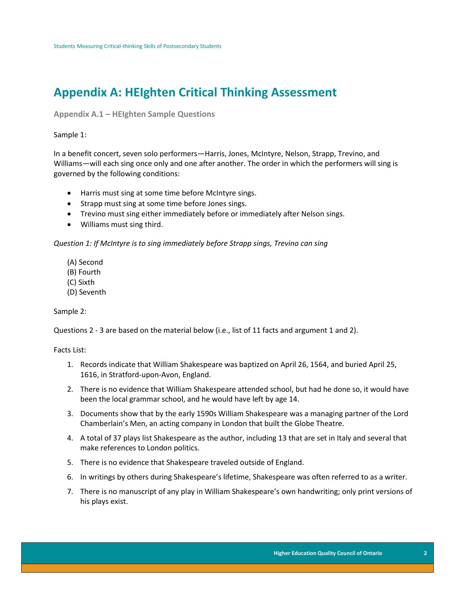## **Appendix A: HEIghten Critical Thinking Assessment**

**Appendix A.1 – HEIghten Sample Questions** 

#### Sample 1:

In a benefit concert, seven solo performers—Harris, Jones, McIntyre, Nelson, Strapp, Trevino, and Williams—will each sing once only and one after another. The order in which the performers will sing is governed by the following conditions:

- Harris must sing at some time before McIntyre sings.
- Strapp must sing at some time before Jones sings.
- Trevino must sing either immediately before or immediately after Nelson sings.
- Williams must sing third.

*Question 1: If McIntyre is to sing immediately before Strapp sings, Trevino can sing* 

- (A) Second
- (B) Fourth
- (C) Sixth
- (D) Seventh

#### Sample 2:

Questions 2 - 3 are based on the material below (i.e., list of 11 facts and argument 1 and 2).

Facts List:

- 1. Records indicate that William Shakespeare was baptized on April 26, 1564, and buried April 25, 1616, in Stratford-upon-Avon, England.
- 2. There is no evidence that William Shakespeare attended school, but had he done so, it would have been the local grammar school, and he would have left by age 14.
- 3. Documents show that by the early 1590s William Shakespeare was a managing partner of the Lord Chamberlain's Men, an acting company in London that built the Globe Theatre.
- 4. A total of 37 plays list Shakespeare as the author, including 13 that are set in Italy and several that make references to London politics.
- 5. There is no evidence that Shakespeare traveled outside of England.
- 6. In writings by others during Shakespeare's lifetime, Shakespeare was often referred to as a writer.
- 7. There is no manuscript of any play in William Shakespeare's own handwriting; only print versions of his plays exist.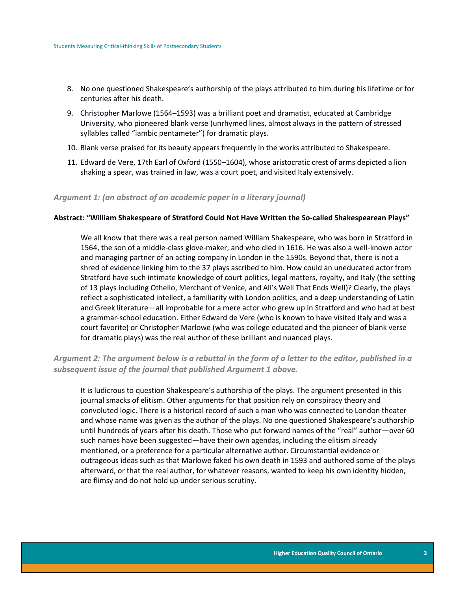- 8. No one questioned Shakespeare's authorship of the plays attributed to him during his lifetime or for centuries after his death.
- 9. Christopher Marlowe (1564–1593) was a brilliant poet and dramatist, educated at Cambridge University, who pioneered blank verse (unrhymed lines, almost always in the pattern of stressed syllables called "iambic pentameter") for dramatic plays.
- 10. Blank verse praised for its beauty appears frequently in the works attributed to Shakespeare.
- 11. Edward de Vere, 17th Earl of Oxford (1550–1604), whose aristocratic crest of arms depicted a lion shaking a spear, was trained in law, was a court poet, and visited Italy extensively.

#### *Argument 1: (an abstract of an academic paper in a literary journal)*

#### **Abstract: "William Shakespeare of Stratford Could Not Have Written the So-called Shakespearean Plays"**

We all know that there was a real person named William Shakespeare, who was born in Stratford in 1564, the son of a middle-class glove-maker, and who died in 1616. He was also a well-known actor and managing partner of an acting company in London in the 1590s. Beyond that, there is not a shred of evidence linking him to the 37 plays ascribed to him. How could an uneducated actor from Stratford have such intimate knowledge of court politics, legal matters, royalty, and Italy (the setting of 13 plays including Othello, Merchant of Venice, and All's Well That Ends Well)? Clearly, the plays reflect a sophisticated intellect, a familiarity with London politics, and a deep understanding of Latin and Greek literature—all improbable for a mere actor who grew up in Stratford and who had at best a grammar-school education. Either Edward de Vere (who is known to have visited Italy and was a court favorite) or Christopher Marlowe (who was college educated and the pioneer of blank verse for dramatic plays) was the real author of these brilliant and nuanced plays.

#### *Argument 2: The argument below is a rebuttal in the form of a letter to the editor, published in a subsequent issue of the journal that published Argument 1 above.*

It is ludicrous to question Shakespeare's authorship of the plays. The argument presented in this journal smacks of elitism. Other arguments for that position rely on conspiracy theory and convoluted logic. There is a historical record of such a man who was connected to London theater and whose name was given as the author of the plays. No one questioned Shakespeare's authorship until hundreds of years after his death. Those who put forward names of the "real" author—over 60 such names have been suggested—have their own agendas, including the elitism already mentioned, or a preference for a particular alternative author. Circumstantial evidence or outrageous ideas such as that Marlowe faked his own death in 1593 and authored some of the plays afterward, or that the real author, for whatever reasons, wanted to keep his own identity hidden, are flimsy and do not hold up under serious scrutiny.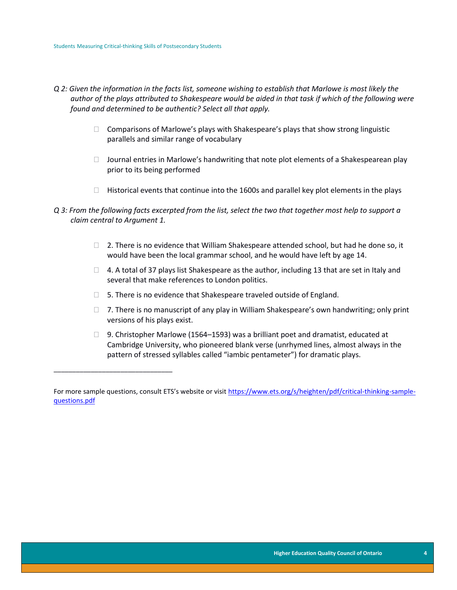\_\_\_\_\_\_\_\_\_\_\_\_\_\_\_\_\_\_\_\_\_\_\_\_\_\_\_\_\_\_\_\_

- *Q 2: Given the information in the facts list, someone wishing to establish that Marlowe is most likely the author of the plays attributed to Shakespeare would be aided in that task if which of the following were found and determined to be authentic? Select all that apply.* 
	- $\Box$  Comparisons of Marlowe's plays with Shakespeare's plays that show strong linguistic parallels and similar range of vocabulary
	- $\Box$  Journal entries in Marlowe's handwriting that note plot elements of a Shakespearean play prior to its being performed
	- $\Box$  Historical events that continue into the 1600s and parallel key plot elements in the plays
- *Q 3: From the following facts excerpted from the list, select the two that together most help to support a claim central to Argument 1.* 
	- $\Box$  2. There is no evidence that William Shakespeare attended school, but had he done so, it would have been the local grammar school, and he would have left by age 14.
	- $\Box$  4. A total of 37 plays list Shakespeare as the author, including 13 that are set in Italy and several that make references to London politics.
	- □ 5. There is no evidence that Shakespeare traveled outside of England.
	- $\Box$  7. There is no manuscript of any play in William Shakespeare's own handwriting; only print versions of his plays exist.
	- □ 9. Christopher Marlowe (1564–1593) was a brilliant poet and dramatist, educated at Cambridge University, who pioneered blank verse (unrhymed lines, almost always in the pattern of stressed syllables called "iambic pentameter") for dramatic plays.

For more sample questions, consult ETS's website or visit [https://www.ets.org/s/heighten/pdf/critical-thinking-sample](https://www.ets.org/s/heighten/pdf/critical-thinking-sample-questions.pdf)[questions.pdf](https://www.ets.org/s/heighten/pdf/critical-thinking-sample-questions.pdf)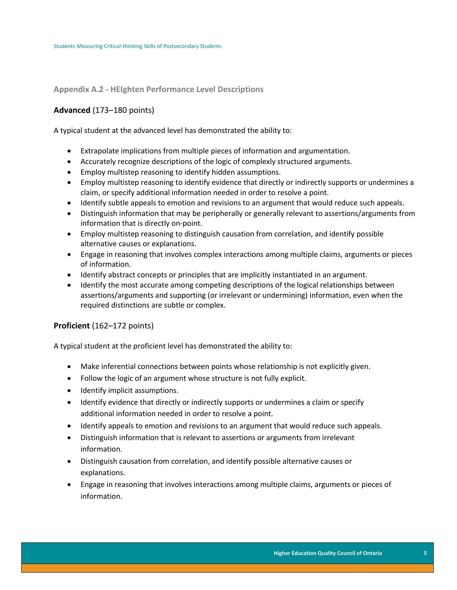#### **Appendix A.2 - HEIghten Performance Level Descriptions**

#### **Advanced** (173–180 points)

A typical student at the advanced level has demonstrated the ability to:

- Extrapolate implications from multiple pieces of information and argumentation.
- Accurately recognize descriptions of the logic of complexly structured arguments.
- Employ multistep reasoning to identify hidden assumptions.
- Employ multistep reasoning to identify evidence that directly or indirectly supports or undermines a claim, or specify additional information needed in order to resolve a point.
- Identify subtle appeals to emotion and revisions to an argument that would reduce such appeals.
- Distinguish information that may be peripherally or generally relevant to assertions/arguments from information that is directly on-point.
- Employ multistep reasoning to distinguish causation from correlation, and identify possible alternative causes or explanations.
- Engage in reasoning that involves complex interactions among multiple claims, arguments or pieces of information.
- Identify abstract concepts or principles that are implicitly instantiated in an argument.
- Identify the most accurate among competing descriptions of the logical relationships between assertions/arguments and supporting (or irrelevant or undermining) information, even when the required distinctions are subtle or complex.

#### **Proficient** (162–172 points)

A typical student at the proficient level has demonstrated the ability to:

- Make inferential connections between points whose relationship is not explicitly given.
- Follow the logic of an argument whose structure is not fully explicit.
- Identify implicit assumptions.
- Identify evidence that directly or indirectly supports or undermines a claim or specify additional information needed in order to resolve a point.
- Identify appeals to emotion and revisions to an argument that would reduce such appeals.
- Distinguish information that is relevant to assertions or arguments from irrelevant information.
- Distinguish causation from correlation, and identify possible alternative causes or explanations.
- Engage in reasoning that involves interactions among multiple claims, arguments or pieces of information.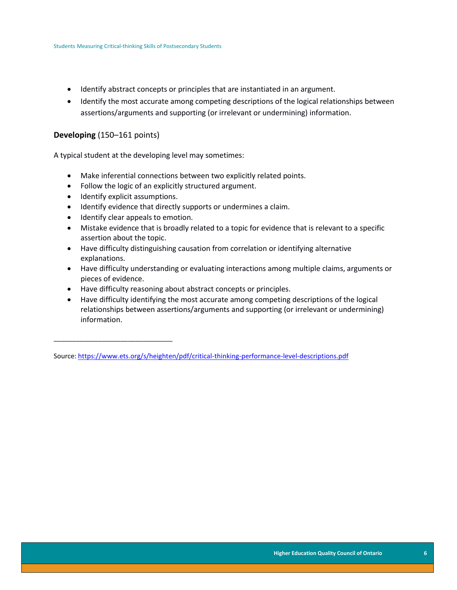- Identify abstract concepts or principles that are instantiated in an argument.
- Identify the most accurate among competing descriptions of the logical relationships between assertions/arguments and supporting (or irrelevant or undermining) information.

#### **Developing** (150–161 points)

A typical student at the developing level may sometimes:

- Make inferential connections between two explicitly related points.
- Follow the logic of an explicitly structured argument.
- Identify explicit assumptions.

\_\_\_\_\_\_\_\_\_\_\_\_\_\_\_\_\_\_\_\_\_\_\_\_\_\_\_\_\_\_\_\_

- Identify evidence that directly supports or undermines a claim.
- Identify clear appeals to emotion.
- Mistake evidence that is broadly related to a topic for evidence that is relevant to a specific assertion about the topic.
- Have difficulty distinguishing causation from correlation or identifying alternative explanations.
- Have difficulty understanding or evaluating interactions among multiple claims, arguments or pieces of evidence.
- Have difficulty reasoning about abstract concepts or principles.
- Have difficulty identifying the most accurate among competing descriptions of the logical relationships between assertions/arguments and supporting (or irrelevant or undermining) information.

Source[: https://www.ets.org/s/heighten/pdf/critical-thinking-performance-level-descriptions.pdf](https://www.ets.org/s/heighten/pdf/critical-thinking-performance-level-descriptions.pdf)